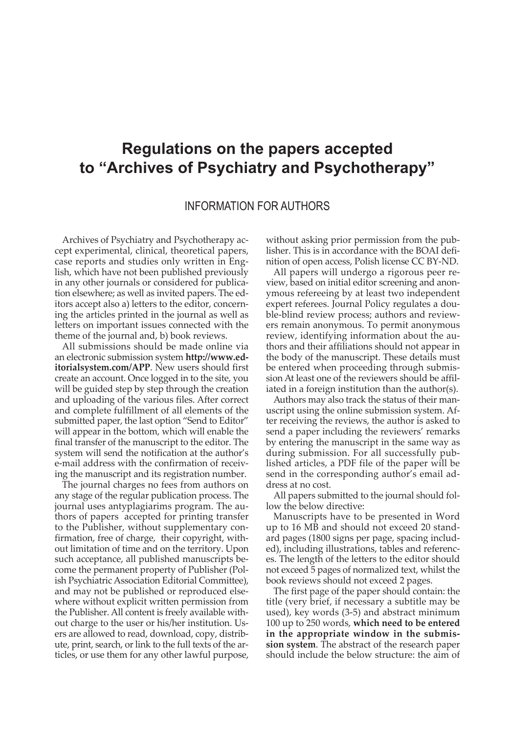## **Regulations on the papers accepted to "Archives of Psychiatry and Psychotherapy"**

## INFORMATION FOR AUTHORS

Archives of Psychiatry and Psychotherapy accept experimental, clinical, theoretical papers, case reports and studies only written in English, which have not been published previously in any other journals or considered for publication elsewhere; as well as invited papers. The editors accept also a) letters to the editor, concerning the articles printed in the journal as well as letters on important issues connected with the theme of the journal and, b) book reviews.

All submissions should be made online via an electronic submission system **http://www.editorialsystem.com/APP**. New users should first create an account. Once logged in to the site, you will be guided step by step through the creation and uploading of the various files. After correct and complete fulfillment of all elements of the submitted paper, the last option "Send to Editor" will appear in the bottom, which will enable the final transfer of the manuscript to the editor. The system will send the notification at the author's e-mail address with the confirmation of receiving the manuscript and its registration number.

The journal charges no fees from authors on any stage of the regular publication process. The journal uses antyplagiarims program. The authors of papers accepted for printing transfer to the Publisher, without supplementary confirmation, free of charge, their copyright, without limitation of time and on the territory. Upon such acceptance, all published manuscripts become the permanent property of Publisher (Polish Psychiatric Association Editorial Committee), and may not be published or reproduced elsewhere without explicit written permission from the Publisher. All content is freely available without charge to the user or his/her institution. Users are allowed to read, download, copy, distribute, print, search, or link to the full texts of the articles, or use them for any other lawful purpose,

without asking prior permission from the publisher. This is in accordance with the BOAI definition of open access, Polish license CC BY-ND.

All papers will undergo a rigorous peer review, based on initial editor screening and anonymous refereeing by at least two independent expert referees. Journal Policy regulates a double-blind review process; authors and reviewers remain anonymous. To permit anonymous review, identifying information about the authors and their affiliations should not appear in the body of the manuscript. These details must be entered when proceeding through submission At least one of the reviewers should be affiliated in a foreign institution than the author(s).

Authors may also track the status of their manuscript using the online submission system. After receiving the reviews, the author is asked to send a paper including the reviewers' remarks by entering the manuscript in the same way as during submission. For all successfully published articles, a PDF file of the paper will be send in the corresponding author's email address at no cost.

All papers submitted to the journal should follow the below directive:

Manuscripts have to be presented in Word up to 16 MB and should not exceed 20 standard pages (1800 signs per page, spacing included), including illustrations, tables and references. The length of the letters to the editor should not exceed 5 pages of normalized text, whilst the book reviews should not exceed 2 pages.

The first page of the paper should contain: the title (very brief, if necessary a subtitle may be used), key words (3-5) and abstract minimum 100 up to 250 words, **which need to be entered in the appropriate window in the submission system**. The abstract of the research paper should include the below structure: the aim of